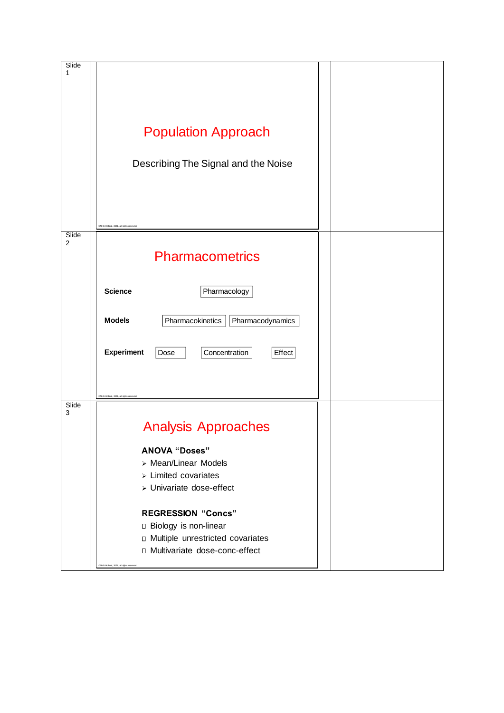| Slide<br>1 | <b>Population Approach</b><br>Describing The Signal and the Noise                                                                                                               |  |
|------------|---------------------------------------------------------------------------------------------------------------------------------------------------------------------------------|--|
|            | CMHG Hollord 2021 all rights                                                                                                                                                    |  |
| Slide<br>2 | <b>Pharmacometrics</b>                                                                                                                                                          |  |
|            | <b>Science</b><br>Pharmacology                                                                                                                                                  |  |
|            | <b>Models</b><br>Pharmacokinetics<br>Pharmacodynamics                                                                                                                           |  |
|            | <b>Experiment</b><br>Dose<br>Concentration<br>Effect                                                                                                                            |  |
|            | CNHG Holford, 2021, all rights reserve                                                                                                                                          |  |
| Slide<br>3 | <b>Analysis Approaches</b>                                                                                                                                                      |  |
|            | <b>ANOVA "Doses"</b><br>> Mean/Linear Models<br>$\triangleright$ Limited covariates<br>> Univariate dose-effect                                                                 |  |
|            | <b>REGRESSION "Concs"</b><br>□ Biology is non-linear<br><b>D</b> Multiple unrestricted covariates<br>□ Multivariate dose-conc-effect<br>INHG Holford, 2021, all rights reserved |  |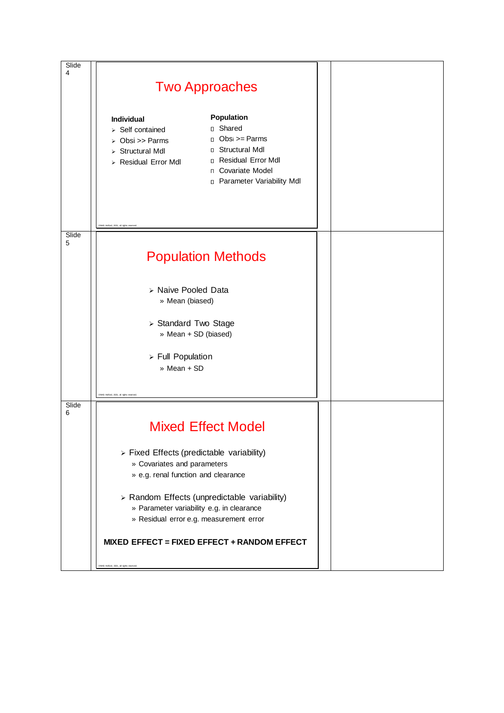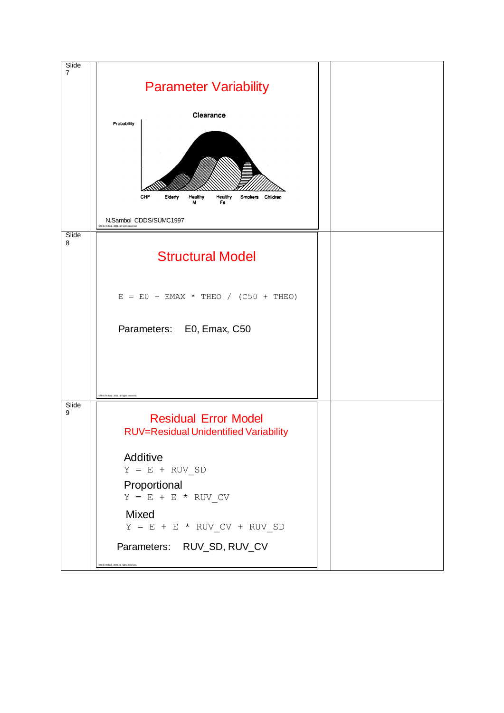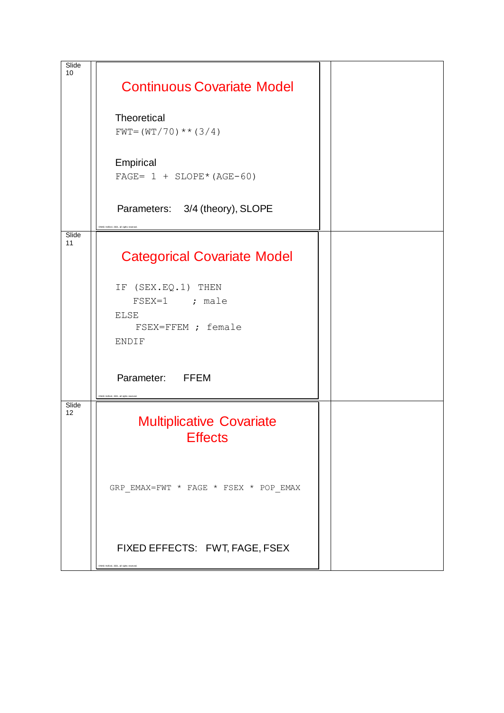| Slide<br>10 |                                                                                                 |  |
|-------------|-------------------------------------------------------------------------------------------------|--|
|             | <b>Continuous Covariate Model</b>                                                               |  |
|             | Theoretical<br>$FWT = (WT / 70) ** (3/4)$                                                       |  |
|             | Empirical<br>FAGE= $1 + \text{SLOPE*} (\text{AGE}-60)$                                          |  |
|             | Parameters: 3/4 (theory), SLOPE                                                                 |  |
| Slide<br>11 | <b>Categorical Covariate Model</b>                                                              |  |
|             | IF (SEX.EQ.1) THEN<br>$FSEX=1$ ; male<br><b>ELSE</b><br>FSEX=FFEM ; female<br><b>ENDIF</b>      |  |
|             | Parameter: FFEM<br>ENHG Holford, 2021, all rights rese                                          |  |
| Slide<br>12 | <b>Multiplicative Covariate</b><br><b>Effects</b>                                               |  |
|             | ${\tt GRP\_EMAX=FWT} \;\; * \;\; {\tt FAGE} \;\; * \;\; {\tt FSEX} \;\; * \;\; {\tt POP\_EMAX}$ |  |
|             | FIXED EFFECTS: FWT, FAGE, FSEX<br>INHG Holford, 2021, all rights                                |  |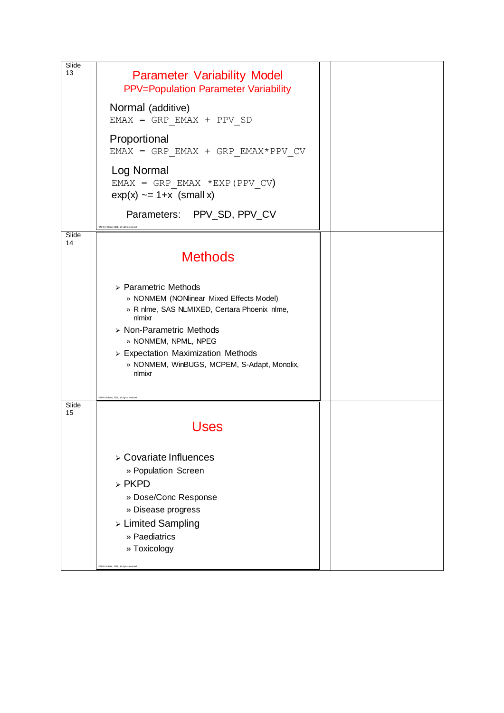| Slide<br>13 | <b>Parameter Variability Model</b><br><b>PPV=Population Parameter Variability</b>                                                                                                                                                                                                            |  |
|-------------|----------------------------------------------------------------------------------------------------------------------------------------------------------------------------------------------------------------------------------------------------------------------------------------------|--|
|             | Normal (additive)<br>$EMAX = GRP EMAX + PPV SD$                                                                                                                                                                                                                                              |  |
|             | Proportional<br>EMAX = GRP EMAX + GRP EMAX*PPV CV                                                                                                                                                                                                                                            |  |
|             | Log Normal<br>EMAX = GRP EMAX *EXP (PPV CV)<br>$exp(x) \sim = 1+x$ (small x)                                                                                                                                                                                                                 |  |
|             | Parameters: PPV_SD, PPV_CV<br>CNHG Holford, 2021, all rights re-                                                                                                                                                                                                                             |  |
| Slide<br>14 | <b>Methods</b>                                                                                                                                                                                                                                                                               |  |
|             | > Parametric Methods<br>» NONMEM (NONlinear Mixed Effects Model)<br>» R nlme, SAS NLMIXED, Certara Phoenix nlme,<br>nlmixr<br>> Non-Parametric Methods<br>» NONMEM, NPML, NPEG<br>$\triangleright$ Expectation Maximization Methods<br>» NONMEM, WinBUGS, MCPEM, S-Adapt, Monolix,<br>nlmixr |  |
| Slide<br>15 | CNHG Holford, 2021, all rights reserver<br>Jses                                                                                                                                                                                                                                              |  |
|             | > Covariate Influences<br>» Population Screen<br>$>$ PKPD<br>» Dose/Conc Response<br>» Disease progress<br>> Limited Sampling<br>» Paediatrics<br>» Toxicology<br>CNHG Holford, 2021, all rights reserved                                                                                    |  |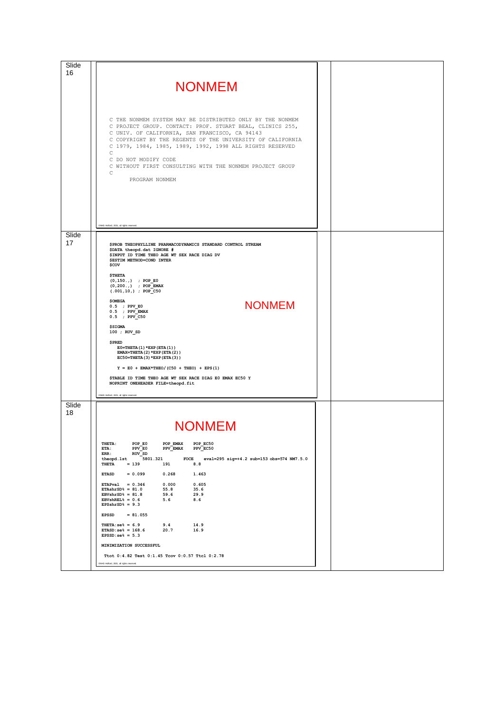| Slide<br>16 |                                                                                                                                                                                                                                                                                                                                                                                                                                                                                                                                                                                                                                                                                     |  |
|-------------|-------------------------------------------------------------------------------------------------------------------------------------------------------------------------------------------------------------------------------------------------------------------------------------------------------------------------------------------------------------------------------------------------------------------------------------------------------------------------------------------------------------------------------------------------------------------------------------------------------------------------------------------------------------------------------------|--|
|             | <b>NONMEM</b>                                                                                                                                                                                                                                                                                                                                                                                                                                                                                                                                                                                                                                                                       |  |
|             | C THE NONMEM SYSTEM MAY BE DISTRIBUTED ONLY BY THE NONMEM<br>C PROJECT GROUP. CONTACT: PROF. STUART BEAL, CLINICS 255,<br>C UNIV. OF CALIFORNIA, SAN FRANCISCO, CA 94143<br>C COPYRIGHT BY THE REGENTS OF THE UNIVERSITY OF CALIFORNIA<br>C 1979, 1984, 1985, 1989, 1992, 1998 ALL RIGHTS RESERVED<br>С<br>C DO NOT MODIFY CODE<br>C WITHOUT FIRST CONSULTING WITH THE NONMEM PROJECT GROUP<br>С<br>PROGRAM NONMEM                                                                                                                                                                                                                                                                  |  |
|             | CNHG Holford, 2021, all rights reserved                                                                                                                                                                                                                                                                                                                                                                                                                                                                                                                                                                                                                                             |  |
| Slide<br>17 | \$PROB THEOPHYLLINE PHARMACODYNAMICS STANDARD CONTROL STREAM<br>\$DATA theopd.dat IGNORE #<br>\$INPUT ID TIME THEO AGE WT SEX RACE DIAG DV<br><b>\$ESTIM METHOD=COND INTER</b><br>\$COV<br><b>\$THETA</b><br>$(0, 150, )$ ; POP E0<br>$(0, 200.)$ ; POP_EMAX<br>$(.001, 10, )$ ; POP_C50<br><b>\$OMEGA</b><br><b>NONMEM</b><br>$0.5$ ; PPV EO<br>$0.5$ ; PPV_EMAX<br>$0.5$ ; PPV_C50<br><b>\$SIGMA</b><br>100 ; RUV_SD<br><b>\$PRED</b><br>$E0 = THETA(1) * EXP(ETA(1))$<br>EMAX=THETA(2)*EXP(ETA(2))<br>$EC50=THETA(3)*EXP(ETA(3))$<br>$Y = E0 + EMAX*THEO/(C50 + THEO) + EPS(1)$<br>\$TABLE ID TIME THEO AGE WT SEX RACE DIAG EO EMAX EC50 Y<br>NOPRINT ONEHEADER FILE=theopd.fit |  |
|             | CNHG Hofford, 2021, all rights reserved                                                                                                                                                                                                                                                                                                                                                                                                                                                                                                                                                                                                                                             |  |
| Slide<br>18 | <b>NONMEM</b>                                                                                                                                                                                                                                                                                                                                                                                                                                                                                                                                                                                                                                                                       |  |
|             | THETA:<br>POP E0<br>POP EMAX<br>POP EC50<br>ETA:<br>PPV E0<br>PPV EMAX<br>PPV_EC50<br>ERR:<br>RUV SD<br>theopd.lst<br>5801.321<br>FOCE<br>eval=295 sig=+4.2 sub=153 obs=574 NM7.5.0<br><b>THETA</b><br>$= 139$<br>191<br>8.8                                                                                                                                                                                                                                                                                                                                                                                                                                                        |  |
|             | <b>ETASD</b><br>$= 0.099$<br>0.268<br>1.463                                                                                                                                                                                                                                                                                                                                                                                                                                                                                                                                                                                                                                         |  |
|             | ETAPval = $0.346$<br>0.000<br>0.605<br>$ETAshrSD$ = 81.0$<br>55.8<br>35.6<br>$EBVshrSD$ <sup>2</sup> = 81.8<br>59.6<br>29.9<br>EBVshREL $$ = 0.6$<br>5.6<br>8.6<br>EPSshrSD $% = 9.3$<br>$= 81.055$<br><b>EPSSD</b>                                                                                                                                                                                                                                                                                                                                                                                                                                                                 |  |
|             | 9.4<br>14.9<br>THETA: $se\$ = 6.9<br>$ETASD:se\$ = 168.6<br>20.7<br>16.9                                                                                                                                                                                                                                                                                                                                                                                                                                                                                                                                                                                                            |  |
|             | $EPSSD:se\$ = 5.3<br>MINIMIZATION SUCCESSFUL                                                                                                                                                                                                                                                                                                                                                                                                                                                                                                                                                                                                                                        |  |
|             | Ttot 0:4.82 Test 0:1.45 Tcov 0:0.57 Ttcl 0:2.78                                                                                                                                                                                                                                                                                                                                                                                                                                                                                                                                                                                                                                     |  |
|             | CNHG Holford, 2021, all rights reserved.                                                                                                                                                                                                                                                                                                                                                                                                                                                                                                                                                                                                                                            |  |